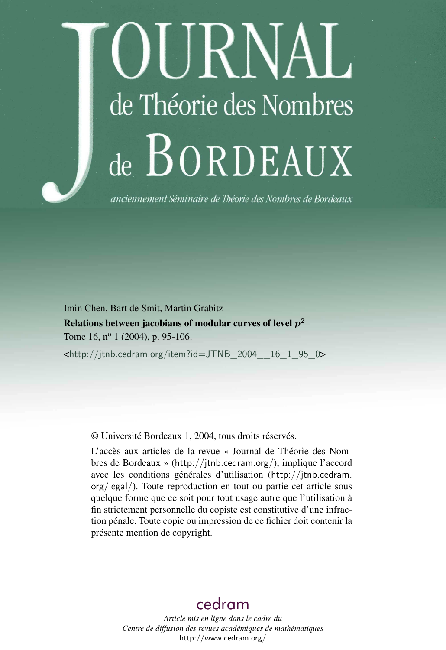# IIRNAL de Théorie des Nombres de BORDEAUX

anciennement Séminaire de Théorie des Nombres de Bordeaux

Imin Chen, Bart de Smit, Martin Grabitz

Relations between jacobians of modular curves of level  $p^2$ Tome 16,  $n^{\circ}$  1 (2004), p. 95-106.

 $\text{chttp://jtnb.cedram.org/item?id=JTNB_2004_16_1-95_0>$ 

© Université Bordeaux 1, 2004, tous droits réservés.

L'accès aux articles de la revue « Journal de Théorie des Nombres de Bordeaux » (<http://jtnb.cedram.org/>), implique l'accord avec les conditions générales d'utilisation ([http://jtnb.cedram.](http://jtnb.cedram.org/legal/) [org/legal/](http://jtnb.cedram.org/legal/)). Toute reproduction en tout ou partie cet article sous quelque forme que ce soit pour tout usage autre que l'utilisation à fin strictement personnelle du copiste est constitutive d'une infraction pénale. Toute copie ou impression de ce fichier doit contenir la présente mention de copyright.

# [cedram](http://www.cedram.org/)

*Article mis en ligne dans le cadre du Centre de diffusion des revues académiques de mathématiques* <http://www.cedram.org/>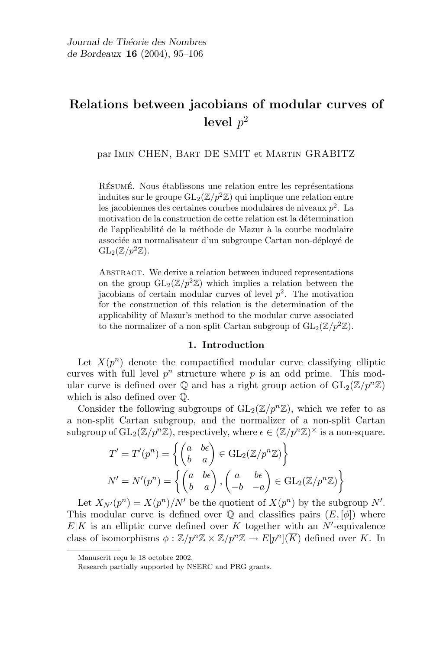# Relations between jacobians of modular curves of level  $p^2$

par Imin CHEN, Bart DE SMIT et Martin GRABITZ

RÉSUMÉ. Nous établissons une relation entre les représentations induites sur le groupe  $GL_2(\mathbb{Z}/p^2\mathbb{Z})$  qui implique une relation entre les jacobiennes des certaines courbes modulaires de niveaux  $p^2$ . La motivation de la construction de cette relation est la détermination de l'applicabilité de la méthode de Mazur à la courbe modulaire associée au normalisateur d'un subgroupe Cartan non-déployé de  $GL_2(\mathbb{Z}/p^2\mathbb{Z})$ .

ABSTRACT. We derive a relation between induced representations on the group  $GL_2(\mathbb{Z}/p^2\mathbb{Z})$  which implies a relation between the jacobians of certain modular curves of level  $p^2$ . The motivation for the construction of this relation is the determination of the applicability of Mazur's method to the modular curve associated to the normalizer of a non-split Cartan subgroup of  $GL_2(\mathbb{Z}/p^2\mathbb{Z})$ .

## 1. Introduction

Let  $X(p^n)$  denote the compactified modular curve classifying elliptic curves with full level  $p^n$  structure where p is an odd prime. This modular curve is defined over  $\mathbb Q$  and has a right group action of  $GL_2(\mathbb Z/p^n\mathbb Z)$ which is also defined over Q.

Consider the following subgroups of  $GL_2(\mathbb{Z}/p^n\mathbb{Z})$ , which we refer to as a non-split Cartan subgroup, and the normalizer of a non-split Cartan subgroup of  $\mathrm{GL}_2(\mathbb{Z}/p^n\mathbb{Z})$ , respectively, where  $\epsilon \in (\mathbb{Z}/p^n\mathbb{Z})^\times$  is a non-square.

$$
T' = T'(p^n) = \left\{ \begin{pmatrix} a & b\epsilon \\ b & a \end{pmatrix} \in \text{GL}_2(\mathbb{Z}/p^n\mathbb{Z}) \right\}
$$

$$
N' = N'(p^n) = \left\{ \begin{pmatrix} a & b\epsilon \\ b & a \end{pmatrix}, \begin{pmatrix} a & b\epsilon \\ -b & -a \end{pmatrix} \in \text{GL}_2(\mathbb{Z}/p^n\mathbb{Z}) \right\}
$$

Let  $X_{N'}(p^n) = X(p^n)/N'$  be the quotient of  $X(p^n)$  by the subgroup N'. This modular curve is defined over  $\mathbb Q$  and classifies pairs  $(E, [\phi])$  where  $E|K$  is an elliptic curve defined over K together with an N'-equivalence class of isomorphisms  $\phi: \mathbb{Z}/p^n\mathbb{Z} \times \mathbb{Z}/p^n\mathbb{Z} \to E[p^n](\overline{K})$  defined over K. In

Manuscrit reçu le 18 octobre 2002.

Research partially supported by NSERC and PRG grants.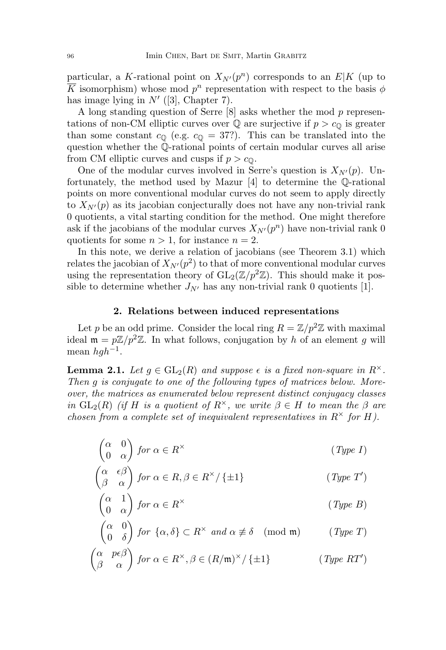particular, a K-rational point on  $X_{N'}(p^n)$  corresponds to an  $E|K|$  (up to  $\overline{K}$  isomorphism) whose mod  $p^n$  representation with respect to the basis  $\phi$ has image lying in  $N'$  ([3], Chapter 7).

A long standing question of Serre [8] asks whether the mod p representations of non-CM elliptic curves over  $\mathbb Q$  are surjective if  $p > c_0$  is greater than some constant  $c_0$  (e.g.  $c_0 = 37$ ?). This can be translated into the question whether the Q-rational points of certain modular curves all arise from CM elliptic curves and cusps if  $p > c_0$ .

One of the modular curves involved in Serre's question is  $X_{N'}(p)$ . Unfortunately, the method used by Mazur [4] to determine the Q-rational points on more conventional modular curves do not seem to apply directly to  $X_{N'}(p)$  as its jacobian conjecturally does not have any non-trivial rank 0 quotients, a vital starting condition for the method. One might therefore ask if the jacobians of the modular curves  $X_{N'}(p^n)$  have non-trivial rank 0 quotients for some  $n > 1$ , for instance  $n = 2$ .

In this note, we derive a relation of jacobians (see Theorem 3.1) which relates the jacobian of  $X_{N'}(p^2)$  to that of more conventional modular curves using the representation theory of  $GL_2(\mathbb{Z}/p^2\mathbb{Z})$ . This should make it possible to determine whether  $J_{N'}$  has any non-trivial rank 0 quotients [1].

#### 2. Relations between induced representations

Let p be an odd prime. Consider the local ring  $R = \mathbb{Z}/p^2\mathbb{Z}$  with maximal ideal  $\mathfrak{m} = p\mathbb{Z}/p^2\mathbb{Z}$ . In what follows, conjugation by h of an element g will mean  $hgh^{-1}$ .

**Lemma 2.1.** Let  $q \in GL_2(R)$  and suppose  $\epsilon$  is a fixed non-square in  $R^{\times}$ . Then g is conjugate to one of the following types of matrices below. Moreover, the matrices as enumerated below represent distinct conjugacy classes in  $GL_2(R)$  (if H is a quotient of  $R^{\times}$ , we write  $\beta \in H$  to mean the  $\beta$  are chosen from a complete set of inequivalent representatives in  $R^{\times}$  for H).

$$
\begin{pmatrix} \alpha & 0 \\ 0 & \alpha \end{pmatrix} for \alpha \in R^{\times}
$$
 (Type I)

$$
\begin{pmatrix} \alpha & \epsilon \beta \\ \beta & \alpha \end{pmatrix} \text{ for } \alpha \in R, \beta \in R^{\times}/\left\{ \pm 1 \right\} \tag{Type T'}
$$

$$
\begin{pmatrix} \alpha & 1 \\ 0 & \alpha \end{pmatrix} for \alpha \in R^{\times}
$$
 (Type B)

$$
\begin{pmatrix} \alpha & 0 \\ 0 & \delta \end{pmatrix} \text{ for } \{\alpha, \delta\} \subset R^{\times} \text{ and } \alpha \not\equiv \delta \pmod{\mathfrak{m}} \qquad (\text{Type } T)
$$

$$
\begin{pmatrix} \alpha & p \epsilon \beta \\ \beta & \alpha \end{pmatrix} \text{ for } \alpha \in R^{\times}, \beta \in (R/\mathfrak{m})^{\times} / \{ \pm 1 \} \tag{Type RT'}
$$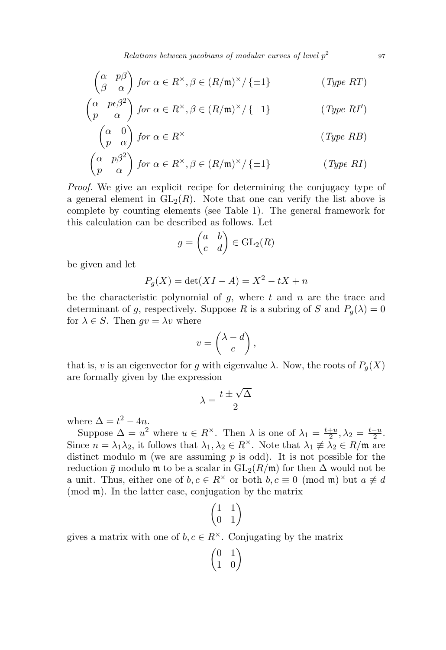Relations between jacobians of modular curves of level  $p^2$ 

$$
\begin{pmatrix} \alpha & p\beta \\ \beta & \alpha \end{pmatrix} \text{ for } \alpha \in R^{\times}, \beta \in (R/\mathfrak{m})^{\times}/\left\{ \pm 1 \right\} \tag{Type RT}
$$

$$
\begin{pmatrix} \alpha & p\epsilon \beta^2 \\ p & \alpha \end{pmatrix} \text{ for } \alpha \in R^\times, \beta \in (R/\mathfrak{m})^\times / \{ \pm 1 \} \tag{Type \text{ } RI'}
$$

$$
\begin{pmatrix} \alpha & 0 \\ p & \alpha \end{pmatrix} for \alpha \in R^{\times}
$$
 (Type RB)

$$
\begin{pmatrix} \alpha & p\beta^2\\ p & \alpha \end{pmatrix} \text{ for } \alpha \in R^\times, \beta \in (R/\mathfrak{m})^\times / \{\pm 1\} \tag{Type \, RI}
$$

Proof. We give an explicit recipe for determining the conjugacy type of a general element in  $GL_2(R)$ . Note that one can verify the list above is complete by counting elements (see Table 1). The general framework for this calculation can be described as follows. Let

$$
g = \begin{pmatrix} a & b \\ c & d \end{pmatrix} \in \text{GL}_2(R)
$$

be given and let

$$
P_g(X) = \det(XI - A) = X^2 - tX + n
$$

be the characteristic polynomial of  $g$ , where  $t$  and  $n$  are the trace and determinant of g, respectively. Suppose R is a subring of S and  $P_q(\lambda) = 0$ for  $\lambda \in S$ . Then  $qv = \lambda v$  where

$$
v = \begin{pmatrix} \lambda - d \\ c \end{pmatrix},
$$

that is, v is an eigenvector for g with eigenvalue  $\lambda$ . Now, the roots of  $P_g(X)$ are formally given by the expression √

$$
\lambda = \frac{t \pm \sqrt{\Delta}}{2}
$$

where  $\Delta = t^2 - 4n$ .

Suppose  $\Delta = u^2$  where  $u \in R^{\times}$ . Then  $\lambda$  is one of  $\lambda_1 = \frac{t+u}{2}$  $\frac{+u}{2}, \lambda_2 = \frac{t-u}{2}$  $\frac{-u}{2}$ . Since  $n = \lambda_1 \lambda_2$ , it follows that  $\lambda_1, \lambda_2 \in R^{\times}$ . Note that  $\lambda_1 \not\equiv \lambda_2 \in R/\mathfrak{m}$  are distinct modulo  $m$  (we are assuming  $p$  is odd). It is not possible for the reduction  $\bar{g}$  modulo m to be a scalar in  $GL_2(R/\mathfrak{m})$  for then  $\Delta$  would not be a unit. Thus, either one of  $b, c \in \mathbb{R}^{\times}$  or both  $b, c \equiv 0 \pmod{\mathfrak{m}}$  but  $a \not\equiv d$ (mod m). In the latter case, conjugation by the matrix

$$
\begin{pmatrix} 1 & 1 \\ 0 & 1 \end{pmatrix}
$$

gives a matrix with one of  $b, c \in \mathbb{R}^{\times}$ . Conjugating by the matrix

$$
\begin{pmatrix} 0 & 1 \\ 1 & 0 \end{pmatrix}
$$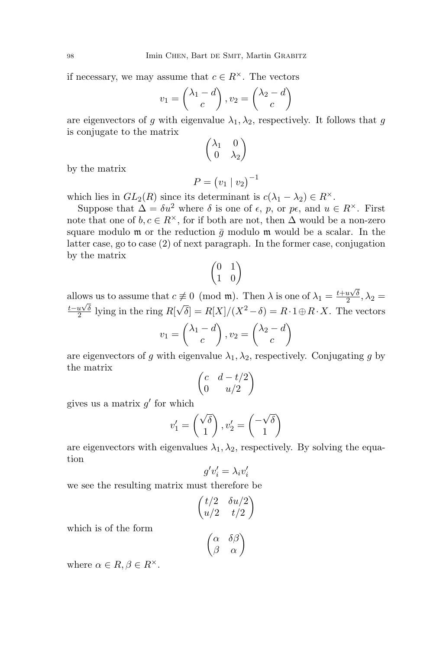if necessary, we may assume that  $c \in R^{\times}$ . The vectors

$$
v_1 = \begin{pmatrix} \lambda_1 - d \\ c \end{pmatrix}, v_2 = \begin{pmatrix} \lambda_2 - d \\ c \end{pmatrix}
$$

are eigenvectors of g with eigenvalue  $\lambda_1, \lambda_2$ , respectively. It follows that g is conjugate to the matrix

$$
\begin{pmatrix} \lambda_1 & 0 \\ 0 & \lambda_2 \end{pmatrix}
$$

by the matrix

$$
P = (v_1 \mid v_2)^{-1}
$$

which lies in  $GL_2(R)$  since its determinant is  $c(\lambda_1 - \lambda_2) \in R^{\times}$ .

Suppose that  $\Delta = \delta u^2$  where  $\delta$  is one of  $\epsilon$ ,  $p$ , or  $p\epsilon$ , and  $u \in R^{\times}$ . First note that one of  $b, c \in R^{\times}$ , for if both are not, then  $\Delta$  would be a non-zero square modulo  $m$  or the reduction  $\bar{g}$  modulo  $m$  would be a scalar. In the latter case, go to case (2) of next paragraph. In the former case, conjugation by the matrix

$$
\begin{pmatrix} 0 & 1 \\ 1 & 0 \end{pmatrix}
$$

allows us to assume that  $c \neq 0 \pmod{\mathfrak{m}}$ . Then  $\lambda$  is one of  $\lambda_1 = \frac{t + u\sqrt{\delta}}{2}$  $\frac{u\sqrt{\delta}}{2}, \lambda_2 =$  $t- u\sqrtδ$  $\frac{u\sqrt{\rho}}{2}$  lying in the ring R[  $\sqrt{\delta}$  =  $R[X]/(X^2-\delta) = R \cdot 1 \oplus R \cdot X$ . The vectors

$$
v_1 = \begin{pmatrix} \lambda_1 - d \\ c \end{pmatrix}, v_2 = \begin{pmatrix} \lambda_2 - d \\ c \end{pmatrix}
$$

are eigenvectors of g with eigenvalue  $\lambda_1, \lambda_2$ , respectively. Conjugating g by the matrix

$$
\begin{pmatrix} c & d - t/2 \\ 0 & u/2 \end{pmatrix}
$$

gives us a matrix  $g'$  for which

$$
v_1' = \begin{pmatrix} \sqrt{\delta} \\ 1 \end{pmatrix}, v_2' = \begin{pmatrix} -\sqrt{\delta} \\ 1 \end{pmatrix}
$$

are eigenvectors with eigenvalues  $\lambda_1, \lambda_2$ , respectively. By solving the equation

$$
g'v_i' = \lambda_i v_i'
$$

we see the resulting matrix must therefore be

$$
\begin{pmatrix} t/2 & \delta u/2 \\ u/2 & t/2 \end{pmatrix}
$$

$$
\begin{pmatrix} \alpha & \delta \beta \end{pmatrix}
$$

which is of the form

$$
\begin{pmatrix} \alpha & \delta\beta \\ \beta & \alpha \end{pmatrix}
$$

where  $\alpha \in R$ ,  $\beta \in R^{\times}$ .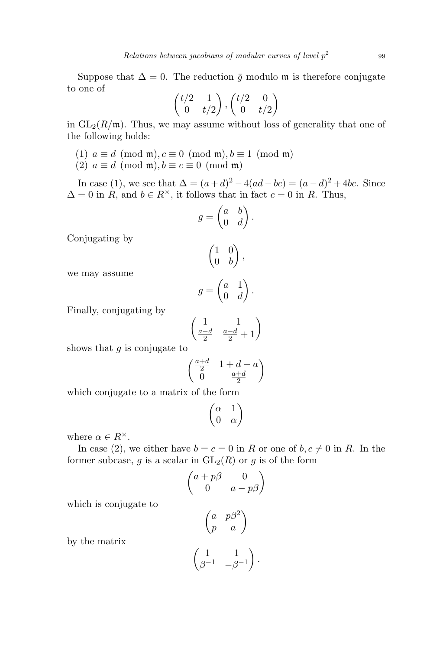Suppose that  $\Delta = 0$ . The reduction  $\bar{q}$  modulo m is therefore conjugate to one of

$$
\begin{pmatrix} t/2 & 1 \ 0 & t/2 \end{pmatrix}, \begin{pmatrix} t/2 & 0 \ 0 & t/2 \end{pmatrix}
$$

in  $GL_2(R/\mathfrak{m})$ . Thus, we may assume without loss of generality that one of the following holds:

- (1)  $a \equiv d \pmod{\mathfrak{m}}$ ,  $c \equiv 0 \pmod{\mathfrak{m}}$ ,  $b \equiv 1 \pmod{\mathfrak{m}}$
- (2)  $a \equiv d \pmod{\mathfrak{m}}$ ,  $b \equiv c \equiv 0 \pmod{\mathfrak{m}}$

In case (1), we see that  $\Delta = (a+d)^2 - 4(ad-bc) = (a-d)^2 + 4bc$ . Since  $\Delta = 0$  in R, and  $b \in R^{\times}$ , it follows that in fact  $c = 0$  in R. Thus,

$$
g = \begin{pmatrix} a & b \\ 0 & d \end{pmatrix}.
$$

Conjugating by

$$
\begin{pmatrix} 1 & 0 \\ 0 & b \end{pmatrix},
$$

we may assume

$$
g = \begin{pmatrix} a & 1 \\ 0 & d \end{pmatrix}.
$$

Finally, conjugating by

$$
\begin{pmatrix}\n1 & 1 \\
\frac{a-d}{2} & \frac{a-d}{2} + 1\n\end{pmatrix}
$$

shows that  $q$  is conjugate to

$$
\begin{pmatrix}\frac{a+d}{2} & 1+d-a\\ 0 & \frac{a+d}{2}\end{pmatrix}
$$

which conjugate to a matrix of the form

$$
\begin{pmatrix} \alpha & 1 \\ 0 & \alpha \end{pmatrix}
$$

where  $\alpha \in R^{\times}$ .

by the matrix

In case (2), we either have  $b = c = 0$  in R or one of  $b, c \neq 0$  in R. In the former subcase, q is a scalar in  $GL_2(R)$  or q is of the form

$$
\begin{pmatrix} a+p\beta & 0\\ 0 & a-p\beta \end{pmatrix}
$$

which is conjugate to

$$
\begin{pmatrix} a & p\beta^2 \\ p & a \end{pmatrix}
$$

$$
\begin{pmatrix} 1 & 1 \\ \beta^{-1} & -\beta^{-1} \end{pmatrix}
$$

.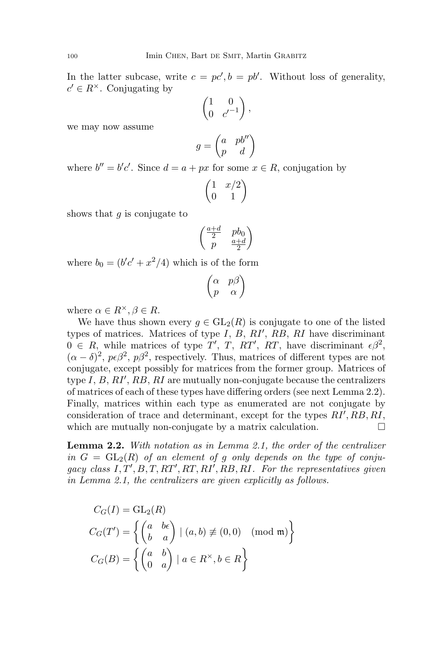In the latter subcase, write  $c = pc', b = pb'$ . Without loss of generality,  $c' \in R^{\times}$ . Conjugating by

$$
\begin{pmatrix} 1 & 0 \\ 0 & c'^{-1} \end{pmatrix},
$$

we may now assume

$$
g = \begin{pmatrix} a & pb'' \\ p & d \end{pmatrix}
$$

where  $b'' = b'c'$ . Since  $d = a + px$  for some  $x \in R$ , conjugation by

$$
\begin{pmatrix} 1 & x/2 \\ 0 & 1 \end{pmatrix}
$$

shows that  $q$  is conjugate to

$$
\begin{pmatrix}\frac{a+d}{2}&pb_0\cr p&\frac{a+d}{2}\end{pmatrix}
$$

where  $b_0 = (b'c' + x^2/4)$  which is of the form

$$
\begin{pmatrix} \alpha & p\beta \\ p & \alpha \end{pmatrix}
$$

where  $\alpha \in R^{\times}, \beta \in R$ .

We have thus shown every  $g \in GL_2(R)$  is conjugate to one of the listed types of matrices. Matrices of type  $I, B, RI', RB, RI$  have discriminant  $0 \in R$ , while matrices of type T', T, RT', RT, have discriminant  $\epsilon \beta^2$ ,  $(\alpha - \delta)^2$ ,  $p\epsilon\beta^2$ ,  $p\beta^2$ , respectively. Thus, matrices of different types are not conjugate, except possibly for matrices from the former group. Matrices of type  $I, B, RI', RB, RI$  are mutually non-conjugate because the centralizers of matrices of each of these types have differing orders (see next Lemma 2.2). Finally, matrices within each type as enumerated are not conjugate by consideration of trace and determinant, except for the types  $RI', RB, RI$ , which are mutually non-conjugate by a matrix calculation.

Lemma 2.2. With notation as in Lemma 2.1, the order of the centralizer in  $G = GL_2(R)$  of an element of g only depends on the type of conjugacy class  $I, T', B, T, RT', RT, RI', RB, RI$ . For the representatives given in Lemma 2.1, the centralizers are given explicitly as follows.

$$
C_G(I) = GL_2(R)
$$
  
\n
$$
C_G(T') = \left\{ \begin{pmatrix} a & b\epsilon \\ b & a \end{pmatrix} \mid (a, b) \neq (0, 0) \pmod{\mathfrak{m}} \right\}
$$
  
\n
$$
C_G(B) = \left\{ \begin{pmatrix} a & b \\ 0 & a \end{pmatrix} \mid a \in R^\times, b \in R \right\}
$$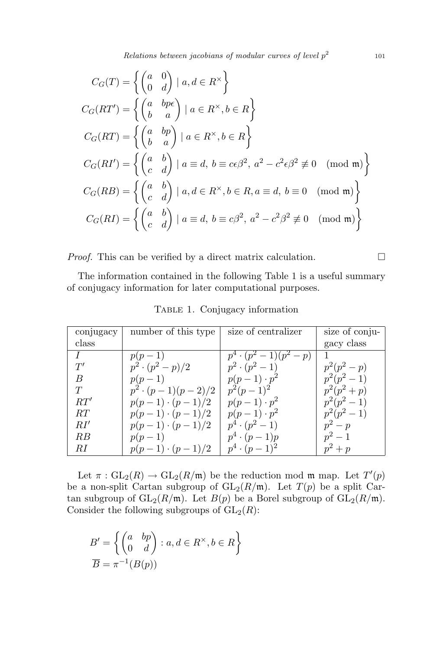Relations between jacobians of modular curves of level  $p^2$ 

$$
C_G(T) = \left\{ \begin{pmatrix} a & 0 \\ 0 & d \end{pmatrix} \mid a, d \in R^\times \right\}
$$
  
\n
$$
C_G(RT') = \left\{ \begin{pmatrix} a & bp\epsilon \\ b & a \end{pmatrix} \mid a \in R^\times, b \in R \right\}
$$
  
\n
$$
C_G(RT) = \left\{ \begin{pmatrix} a & bp \\ b & a \end{pmatrix} \mid a \in R^\times, b \in R \right\}
$$
  
\n
$$
C_G(RT') = \left\{ \begin{pmatrix} a & b \\ c & d \end{pmatrix} \mid a \equiv d, b \equiv c\epsilon\beta^2, a^2 - c^2\epsilon\beta^2 \not\equiv 0 \pmod{\mathfrak{m}} \right\}
$$
  
\n
$$
C_G(RB) = \left\{ \begin{pmatrix} a & b \\ c & d \end{pmatrix} \mid a, d \in R^\times, b \in R, a \equiv d, b \equiv 0 \pmod{\mathfrak{m}} \right\}
$$
  
\n
$$
C_G(RI) = \left\{ \begin{pmatrix} a & b \\ c & d \end{pmatrix} \mid a \equiv d, b \equiv c\beta^2, a^2 - c^2\beta^2 \not\equiv 0 \pmod{\mathfrak{m}} \right\}
$$

*Proof.* This can be verified by a direct matrix calculation.  $\Box$ 

The information contained in the following Table 1 is a useful summary of conjugacy information for later computational purposes.

| conjugacy | number of this type      | size of centralizer        | size of conju- |
|-----------|--------------------------|----------------------------|----------------|
| class     |                          |                            | gacy class     |
|           | $p(p-1)$                 | $p^4 \cdot (p^2-1)(p^2-p)$ |                |
| T'        | $p^2 \cdot (p^2 - p)/2$  | $p^2 \cdot (p^2 - 1)$      | $p^2(p^2-p)$   |
| B         | $p(p-1)$                 | $p(p-1)\cdot p^2$          | $p^2(p^2-1)$   |
| T         | $p^2 \cdot (p-1)(p-2)/2$ | $p^2(p-1)^2$               | $p^2(p^2+p)$   |
| RT'       | $p(p-1) \cdot (p-1)/2$   | $p(p-1)\cdot p^2$          | $p^2(p^2-1)$   |
| RT        | $p(p-1) \cdot (p-1)/2$   | $p(p-1)\cdot p^2$          | $p^2(p^2-1)$   |
| RI'       | $p(p-1) \cdot (p-1)/2$   | $p^4 \cdot (p^2-1)$        | $p^2-p$        |
| RВ        | $p(p-1)$                 | $p^4\cdot (p-1)p$          | $p^2-1$        |
| RІ        | $p(p-1) \cdot (p-1)/2$   | $p^4 \cdot (p-1)^2$        | $p^2+p$        |

TABLE 1. Conjugacy information

Let  $\pi : GL_2(R) \to GL_2(R/\mathfrak{m})$  be the reduction mod  $\mathfrak{m}$  map. Let  $T'(p)$ be a non-split Cartan subgroup of  $GL_2(R/\mathfrak{m})$ . Let  $T(p)$  be a split Cartan subgroup of  $GL_2(R/\mathfrak{m})$ . Let  $B(p)$  be a Borel subgroup of  $GL_2(R/\mathfrak{m})$ . Consider the following subgroups of  $GL_2(R)$ :

$$
B' = \left\{ \begin{pmatrix} a & bp \\ 0 & d \end{pmatrix} : a, d \in R^{\times}, b \in R \right\}
$$

$$
\overline{B} = \pi^{-1}(B(p))
$$

101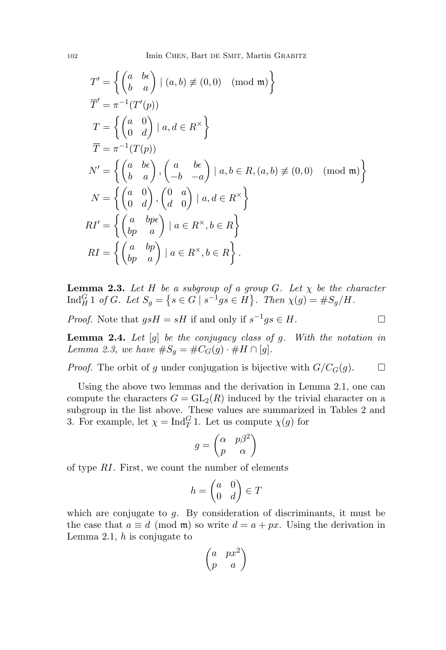102 Imin CHEN, Bart DE SMIT, Martin GRABITZ

$$
T' = \left\{ \begin{pmatrix} a & b\epsilon \\ b & a \end{pmatrix} \mid (a, b) \neq (0, 0) \pmod{\mathfrak{m}} \right\}
$$
  
\n
$$
\overline{T}' = \pi^{-1}(T'(p))
$$
  
\n
$$
T = \left\{ \begin{pmatrix} a & 0 \\ 0 & d \end{pmatrix} \mid a, d \in R^{\times} \right\}
$$
  
\n
$$
\overline{T} = \pi^{-1}(T(p))
$$
  
\n
$$
N' = \left\{ \begin{pmatrix} a & b\epsilon \\ b & a \end{pmatrix}, \begin{pmatrix} a & b\epsilon \\ -b & -a \end{pmatrix} \mid a, b \in R, (a, b) \neq (0, 0) \pmod{\mathfrak{m}} \right\}
$$
  
\n
$$
N = \left\{ \begin{pmatrix} a & 0 \\ 0 & d \end{pmatrix}, \begin{pmatrix} 0 & a \\ d & 0 \end{pmatrix} \mid a, d \in R^{\times} \right\}
$$
  
\n
$$
RI' = \left\{ \begin{pmatrix} a & bp\epsilon \\ bp & a \end{pmatrix} \mid a \in R^{\times}, b \in R \right\}
$$
  
\n
$$
RI = \left\{ \begin{pmatrix} a & bp \\ bp & a \end{pmatrix} \mid a \in R^{\times}, b \in R \right\}.
$$

**Lemma 2.3.** Let H be a subgroup of a group G. Let  $\chi$  be the character  $\text{Ind}_{H}^{G} 1 \text{ of } G.$  Let  $S_g = \{ s \in G \mid s^{-1}gs \in H \}.$  Then  $\chi(g) = \#S_g/H.$ 

*Proof.* Note that  $gsH = sH$  if and only if  $s^{-1}gs \in H$ .

**Lemma 2.4.** Let  $[g]$  be the conjugacy class of g. With the notation in Lemma 2.3, we have  $\#S_q = \#C_G(g) \cdot \#H \cap [g]$ .

*Proof.* The orbit of g under conjugation is bijective with  $G/C_G(g)$ .  $\Box$ 

Using the above two lemmas and the derivation in Lemma 2.1, one can compute the characters  $G = GL_2(R)$  induced by the trivial character on a subgroup in the list above. These values are summarized in Tables 2 and 3. For example, let  $\chi = \text{Ind}_{T}^{G} 1$ . Let us compute  $\chi(g)$  for

$$
g = \begin{pmatrix} \alpha & p\beta^2 \\ p & \alpha \end{pmatrix}
$$

of type RI. First, we count the number of elements

$$
h = \begin{pmatrix} a & 0 \\ 0 & d \end{pmatrix} \in T
$$

which are conjugate to  $g$ . By consideration of discriminants, it must be the case that  $a \equiv d \pmod{\mathfrak{m}}$  so write  $d = a + px$ . Using the derivation in Lemma 2.1,  $h$  is conjugate to

$$
\begin{pmatrix} a & px^2 \\ p & a \end{pmatrix}
$$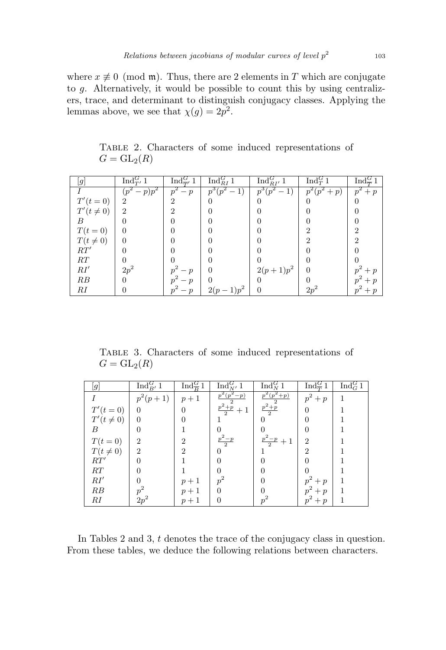where  $x \not\equiv 0 \pmod{\mathfrak{m}}$ . Thus, there are 2 elements in T which are conjugate to g. Alternatively, it would be possible to count this by using centralizers, trace, and determinant to distinguish conjugacy classes. Applying the lemmas above, we see that  $\chi(g) = 2p^2$ .

Table 2. Characters of some induced representations of  $G = GL_2(R)$ 

| [g]           | Ind $G_T$ 1  | Ind $\frac{G}{T'}$ 1 | $\operatorname{Ind}_{RI}^G 1$ | $\operatorname{Ind}_{RI'}^G 1$ | Ind ${}_{T}^{G}$ <sup>1</sup> | Ind $\frac{G}{T}$ 1 |
|---------------|--------------|----------------------|-------------------------------|--------------------------------|-------------------------------|---------------------|
|               | $(p^2-p)p^2$ | $p^2-p$              | $p^3(p^2-1)$                  | $\overline{p^3(p^2-1)}$        | $\overline{p^2(p^2+p)}$       | $\overline{p^2+p}$  |
| $T'(t=0)$     | 2            | 2                    |                               |                                |                               |                     |
| $T'(t\neq 0)$ | 2            |                      |                               |                                |                               |                     |
| B             | $\mathbf{0}$ |                      |                               |                                |                               |                     |
| $T(t=0)$      |              |                      |                               |                                |                               | 2                   |
| $T(t\neq 0)$  |              |                      |                               |                                |                               | 2                   |
| RT'           | 0            |                      |                               |                                |                               |                     |
| RT            |              |                      |                               |                                |                               |                     |
| RI'           | $2p^2$       | $- n$                | 0                             | $2(p+1)p^2$                    |                               |                     |
| RB            | $^{(1)}$     | $- n$                |                               |                                |                               | $\boldsymbol{\eta}$ |
| RI            |              | $- p$                | $2(p-1)p^2$                   |                                | $2p^2$                        | $p^{\prime}$        |

Table 3. Characters of some induced representations of  $G = GL_2(R)$ 

| g             | $\text{Ind}_{B'}^G 1$       | $\text{Ind}_{\overline{p}}^G 1$ | $\text{Ind}_{N'}^G 1$ | $\overline{\mathrm{Ind}_N^G 1}$ | $\overline{\mathrm{Ind}_{\overline{T}}^G 1}$ | $\text{Ind}_{G}^{G}1$ |
|---------------|-----------------------------|---------------------------------|-----------------------|---------------------------------|----------------------------------------------|-----------------------|
|               | $p^2(p+1)$                  | $p+1$                           | $p^2(p^2-p)$          | $p^2(p^2+p)$                    | $p^2+p$                                      |                       |
| $T'(t = 0)$   | $\Omega$                    | $\Omega$                        | $\frac{p^2+p}{2}+1$   | $\frac{p^2+p}{2}$               | $\Omega$                                     |                       |
| $T'(t\neq 0)$ | $\Omega$                    |                                 |                       |                                 |                                              |                       |
| B             | 0                           |                                 |                       |                                 |                                              |                       |
| $T(t=0)$      | $\mathcal{D}_{\mathcal{L}}$ | 2                               | $\frac{p^2-p}{2}$     | $\frac{p^2-p}{2}+1$             | $\mathfrak{D}$                               |                       |
| $T(t\neq 0)$  | $\mathfrak{D}$              | 9                               | 0                     |                                 | $\mathfrak{D}$                               |                       |
| RT'           | $\Omega$                    |                                 |                       |                                 |                                              |                       |
| RT            |                             |                                 |                       |                                 |                                              |                       |
| RI'           |                             | $p+1$                           | $p^2$                 |                                 | $p^2+p$                                      |                       |
| RB            | $p^2$                       | $p+1$                           | $\Omega$              |                                 | $p^2+p$                                      |                       |
| RI            | $2p^2$                      | $p+1$                           | 0                     | $p^2$                           | $p^2+p$                                      |                       |

In Tables 2 and 3, t denotes the trace of the conjugacy class in question. From these tables, we deduce the following relations between characters.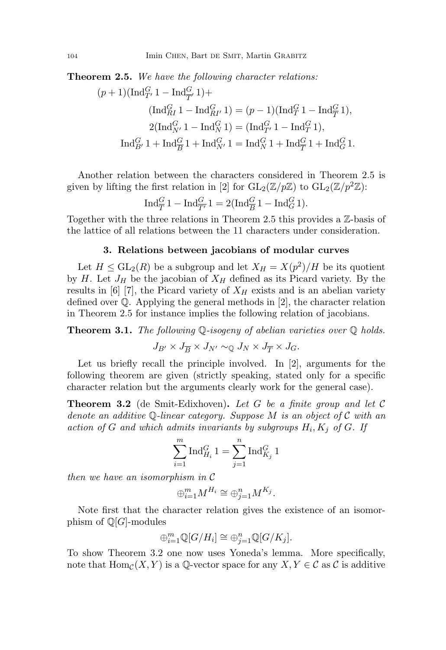**Theorem 2.5.** We have the following character relations:

$$
\begin{aligned} (p+1) (\operatorname{Ind}_{T'}^G 1 - \operatorname{Ind}_{\overline{T}'}^G 1) + \\ (\operatorname{Ind}_{RI}^G 1 - \operatorname{Ind}_{RI'}^G 1) = (p-1) (\operatorname{Ind}_T^G 1 - \operatorname{Ind}_{\overline{T}}^G 1), \\ 2 (\operatorname{Ind}_{N'}^G 1 - \operatorname{Ind}_N^G 1) = (\operatorname{Ind}_{T'}^G 1 - \operatorname{Ind}_T^G 1), \\ \operatorname{Ind}_{B'}^G 1 + \operatorname{Ind}_{\overline{B}}^G 1 + \operatorname{Ind}_{N'}^G 1 = \operatorname{Ind}_N^G 1 + \operatorname{Ind}_{\overline{T}}^G 1 + \operatorname{Ind}_G^G 1. \end{aligned}
$$

Another relation between the characters considered in Theorem 2.5 is given by lifting the first relation in [2] for  $GL_2(\mathbb{Z}/p\mathbb{Z})$  to  $GL_2(\mathbb{Z}/p^2\mathbb{Z})$ :

$$
\operatorname{Ind}_{\overline{T}}^G 1 - \operatorname{Ind}_{\overline{T'}}^G 1 = 2(\operatorname{Ind}_{\overline{B}}^G 1 - \operatorname{Ind}_{G}^G 1).
$$

Together with the three relations in Theorem 2.5 this provides a Z-basis of the lattice of all relations between the 11 characters under consideration.

## 3. Relations between jacobians of modular curves

Let  $H \leq \mathrm{GL}_2(R)$  be a subgroup and let  $X_H = X(p^2)/H$  be its quotient by H. Let  $J_H$  be the jacobian of  $X_H$  defined as its Picard variety. By the results in [6] [7], the Picard variety of  $X_H$  exists and is an abelian variety defined over  $\mathbb Q$ . Applying the general methods in [2], the character relation in Theorem 2.5 for instance implies the following relation of jacobians.

**Theorem 3.1.** The following  $\mathbb{Q}$ -isogeny of abelian varieties over  $\mathbb{Q}$  holds.

 $J_{B'} \times J_{\overline{B}} \times J_{N'} \sim_{\mathbb{O}} J_N \times J_{\overline{T}} \times J_G.$ 

Let us briefly recall the principle involved. In [2], arguments for the following theorem are given (strictly speaking, stated only for a specific character relation but the arguments clearly work for the general case).

**Theorem 3.2** (de Smit-Edixhoven). Let G be a finite group and let  $\mathcal{C}$ denote an additive Q-linear category. Suppose M is an object of C with an action of G and which admits invariants by subgroups  $H_i, K_j$  of G. If

$$
\sum_{i=1}^m \operatorname{Ind}_{H_i}^G 1 = \sum_{j=1}^n \operatorname{Ind}_{K_j}^G 1
$$

then we have an isomorphism in C

$$
\oplus_{i=1}^m M^{H_i} \cong \oplus_{j=1}^n M^{K_j}.
$$

Note first that the character relation gives the existence of an isomorphism of  $\mathbb{Q}[G]$ -modules

$$
\oplus_{i=1}^m \mathbb{Q}[G/H_i] \cong \oplus_{j=1}^n \mathbb{Q}[G/K_j].
$$

To show Theorem 3.2 one now uses Yoneda's lemma. More specifically, note that  $\text{Hom}_{\mathcal{C}}(X, Y)$  is a Q-vector space for any  $X, Y \in \mathcal{C}$  as  $\mathcal{C}$  is additive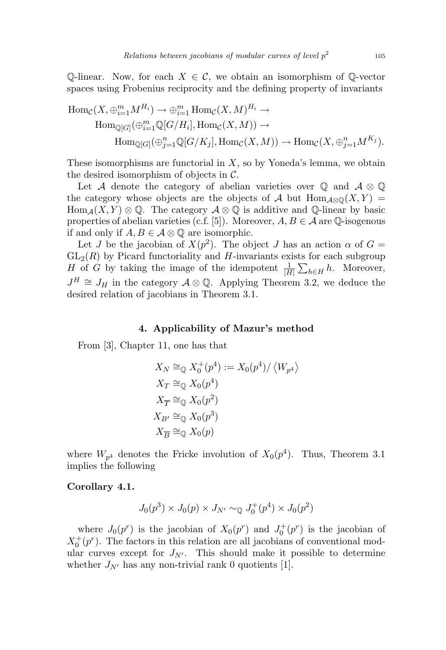$\mathbb{Q}$ -linear. Now, for each  $X \in \mathcal{C}$ , we obtain an isomorphism of  $\mathbb{Q}$ -vector spaces using Frobenius reciprocity and the defining property of invariants

$$
\text{Hom}_{\mathcal{C}}(X, \bigoplus_{i=1}^{m} M^{H_i}) \to \bigoplus_{i=1}^{m} \text{Hom}_{\mathcal{C}}(X, M)^{H_i} \to
$$
  
\n
$$
\text{Hom}_{\mathbb{Q}[G]}(\bigoplus_{i=1}^{m} \mathbb{Q}[G/H_i], \text{Hom}_{\mathcal{C}}(X, M)) \to
$$
  
\n
$$
\text{Hom}_{\mathbb{Q}[G]}(\bigoplus_{j=1}^{n} \mathbb{Q}[G/K_j], \text{Hom}_{\mathcal{C}}(X, M)) \to \text{Hom}_{\mathcal{C}}(X, \bigoplus_{j=1}^{n} M^{K_j}).
$$

These isomorphisms are functorial in  $X$ , so by Yoneda's lemma, we obtain the desired isomorphism of objects in  $\mathcal{C}$ .

Let A denote the category of abelian varieties over  $\mathbb Q$  and  $\mathcal A \otimes \mathbb Q$ the category whose objects are the objects of A but  $\text{Hom}_{\mathcal{A}\otimes\mathbb{Q}}(X,Y)$  $\text{Hom}_{\mathcal{A}}(X, Y) \otimes \mathbb{Q}$ . The category  $\mathcal{A} \otimes \mathbb{Q}$  is additive and  $\mathbb{Q}$ -linear by basic properties of abelian varieties (c.f. [5]). Moreover,  $A, B \in \mathcal{A}$  are  $\mathbb{Q}$ -isogenous if and only if  $A, B \in \mathcal{A} \otimes \mathbb{Q}$  are isomorphic.

Let J be the jacobian of  $X(p^2)$ . The object J has an action  $\alpha$  of  $G =$  $GL_2(R)$  by Picard functoriality and H-invariants exists for each subgroup H of G by taking the image of the idempotent  $\frac{1}{|H|}\sum_{h\in H}h$ . Moreover,  $J^H \cong J_H$  in the category  $\mathcal{A} \otimes \mathbb{Q}$ . Applying Theorem 3.2, we deduce the desired relation of jacobians in Theorem 3.1.

#### 4. Applicability of Mazur's method

From [3], Chapter 11, one has that

$$
X_N \cong_{\mathbb{Q}} X_0^+(p^4) := X_0(p^4) / \langle W_{p^4} \rangle
$$
  
\n
$$
X_T \cong_{\mathbb{Q}} X_0(p^4)
$$
  
\n
$$
X_{\overline{T}} \cong_{\mathbb{Q}} X_0(p^2)
$$
  
\n
$$
X_{B'} \cong_{\mathbb{Q}} X_0(p^3)
$$
  
\n
$$
X_{\overline{B}} \cong_{\mathbb{Q}} X_0(p)
$$

where  $W_{p^4}$  denotes the Fricke involution of  $X_0(p^4)$ . Thus, Theorem 3.1 implies the following

#### Corollary 4.1.

$$
J_0(p^3) \times J_0(p) \times J_{N'} \sim_{\mathbb{Q}} J_0^+(p^4) \times J_0(p^2)
$$

where  $J_0(p^r)$  is the jacobian of  $X_0(p^r)$  and  $J_0^+(p^r)$  is the jacobian of  $X_0^+(p^r)$ . The factors in this relation are all jacobians of conventional modular curves except for  $J_{N'}$ . This should make it possible to determine whether  $J_{N'}$  has any non-trivial rank 0 quotients [1].